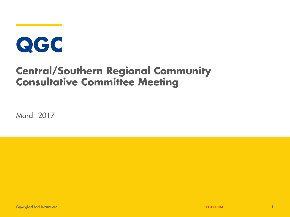# QGC

### **Central/Southern Regional Community Consultative Committee Meeting**

March 2017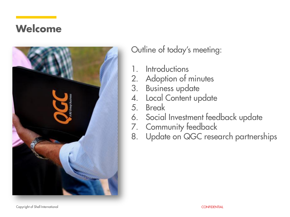### **Welcome**



Outline of today's meeting:

- 1. Introductions
- 2. Adoption of minutes<br>3. Business update
- **Business update**
- 4. Local Content update
- 5. Break
- 6. Social Investment feedback update
- 7. Community feedback
- 8. Update on QGC research partnerships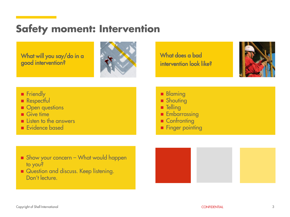### **Safety moment: Intervention**

What will you say/do in a good intervention?



What does a bad intervention look like?



- **Fiendly**
- **Respectful**
- Open questions
- $Give time$
- $\blacksquare$  Listen to the answers
- Evidence based
- **Blaming**
- **Shouting**
- **Telling**
- **Embarrassing**
- Confronting
- **Finger pointing**

- Show your concern What would happen to you?
- Question and discuss. Keep listening. Don't lecture.

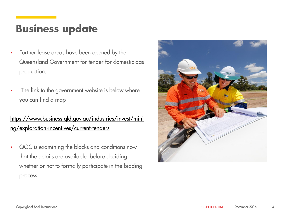### **Business update**

- Further lease areas have been opened by the Queensland Government for tender for domestic gas production.
- The link to the government website is below where you can find a map

#### [https://www.business.qld.gov.au/industries/invest/mini](https://www.business.qld.gov.au/industries/invest/mining/exploration-incentives/current-tenders) [ng/exploration-incentives/current-tenders](https://www.business.qld.gov.au/industries/invest/mining/exploration-incentives/current-tenders)

 QGC is examining the blocks and conditions now that the details are available before deciding whether or not to formally participate in the bidding process.

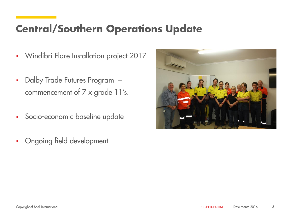### **Central/Southern Operations Update**

- **Windibri Flare Installation project 2017**
- Dalby Trade Futures Program commencement of 7 x grade 11's.
- **Socio-economic baseline update**
- Ongoing field development

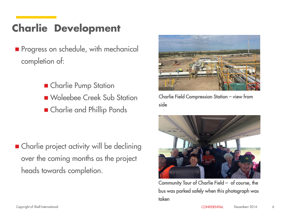### **Charlie Development**

- **Progress on schedule, with mechanical** completion of:
	- **E** Charlie Pump Station Woleebee Creek Sub Station **n** Charlie and Phillip Ponds

■ Charlie project activity will be declining over the coming months as the project heads towards completion.



Charlie Field Compression Station – view from side



Community Tour of Charlie Field – of course, the bus was parked safely when this photograph was taken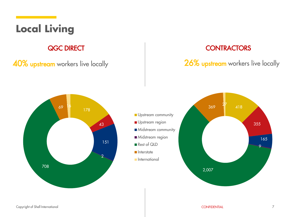### **Local Living**

40% upstream workers live locally 26% upstream workers live locally

#### **QGC DIRECT CONTRACTORS**





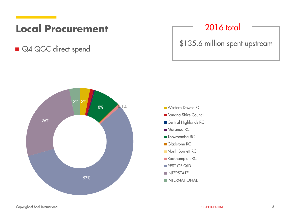### **Local Procurement**

Q4 QGC direct spend



### 2016 total

\$135.6 million spent upstream



- Banana Shire Council
- Central Highlands RC
- Maranoa RC
- Toowoomba RC
- Gladstone RC
- **North Burnett RC**
- Rockhampton RC
- REST OF QLD
- **INTERSTATE**
- INTERNATIONAL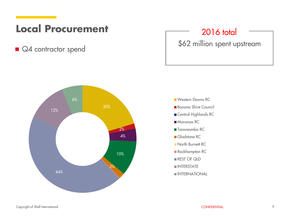### **Local Procurement**

■ Q4 contractor spend



#### 2016 total

\$62 million spent upstream

Banana Shire Council Central Highlands RC ■ Maranoa RC ■ Toowoomba RC Gladstone RC **North Burnett RC** Rockhampton RC REST OF QLD **INTERSTATE INTERNATIONAL**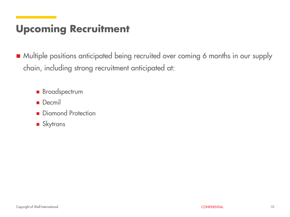### **Upcoming Recruitment**

■ Multiple positions anticipated being recruited over coming 6 months in our supply chain, including strong recruitment anticipated at:

- **Broadspectrum**
- **Decmil**
- Diamond Protection
- **Skytrans**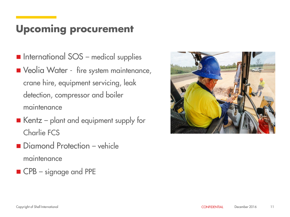### **Upcoming procurement**

- **International SOS** medical supplies ■ Veolia Water - fire system maintenance, crane hire, equipment servicing, leak detection, compressor and boiler maintenance
- $\blacksquare$  Kentz plant and equipment supply for Charlie FCS
- Diamond Protection vehicle maintenance
- CPB signage and PPE

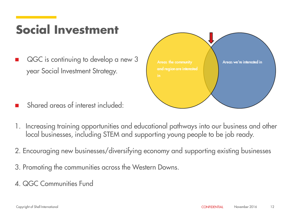### **Social Investment**

 QGC is continuing to develop a new 3 year Social Investment Strategy.



- Shared areas of interest included:
- 1. Increasing training opportunities and educational pathways into our business and other local businesses, including STEM and supporting young people to be job ready.
- 2. Encouraging new businesses/diversifying economy and supporting existing businesses
- 3. Promoting the communities across the Western Downs.
- 4. QGC Communities Fund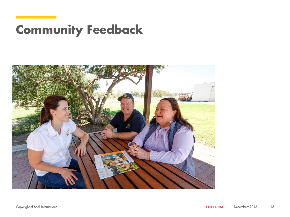## **Community Feedback**

![](_page_12_Picture_1.jpeg)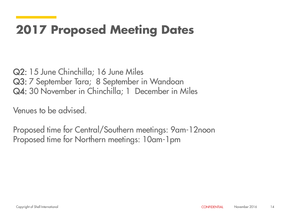### **2017 Proposed Meeting Dates**

Q2: 15 June Chinchilla; 16 June Miles Q3: 7 September Tara; 8 September in Wandoan Q4: 30 November in Chinchilla; 1 December in Miles

Venues to be advised.

Proposed time for Central/Southern meetings: 9am-12noon Proposed time for Northern meetings: 10am-1pm